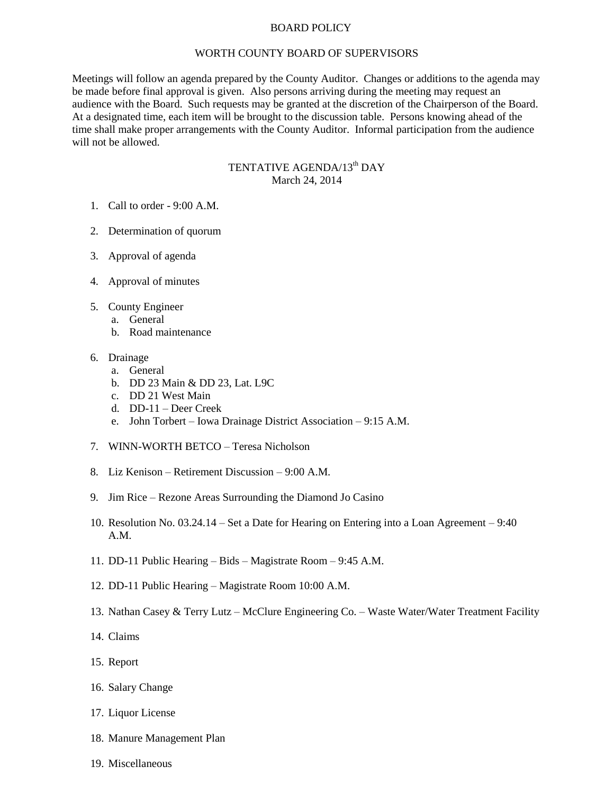## BOARD POLICY

## WORTH COUNTY BOARD OF SUPERVISORS

Meetings will follow an agenda prepared by the County Auditor. Changes or additions to the agenda may be made before final approval is given. Also persons arriving during the meeting may request an audience with the Board. Such requests may be granted at the discretion of the Chairperson of the Board. At a designated time, each item will be brought to the discussion table. Persons knowing ahead of the time shall make proper arrangements with the County Auditor. Informal participation from the audience will not be allowed.

## TENTATIVE AGENDA/13<sup>th</sup> DAY March 24, 2014

- 1. Call to order 9:00 A.M.
- 2. Determination of quorum
- 3. Approval of agenda
- 4. Approval of minutes
- 5. County Engineer
	- a. General
	- b. Road maintenance
- 6. Drainage
	- a. General
	- b. DD 23 Main & DD 23, Lat. L9C
	- c. DD 21 West Main
	- d. DD-11 Deer Creek
	- e. John Torbert Iowa Drainage District Association 9:15 A.M.
- 7. WINN-WORTH BETCO Teresa Nicholson
- 8. Liz Kenison Retirement Discussion 9:00 A.M.
- 9. Jim Rice Rezone Areas Surrounding the Diamond Jo Casino
- 10. Resolution No. 03.24.14 Set a Date for Hearing on Entering into a Loan Agreement 9:40 A.M.
- 11. DD-11 Public Hearing Bids Magistrate Room 9:45 A.M.
- 12. DD-11 Public Hearing Magistrate Room 10:00 A.M.
- 13. Nathan Casey & Terry Lutz McClure Engineering Co. Waste Water/Water Treatment Facility
- 14. Claims
- 15. Report
- 16. Salary Change
- 17. Liquor License
- 18. Manure Management Plan
- 19. Miscellaneous